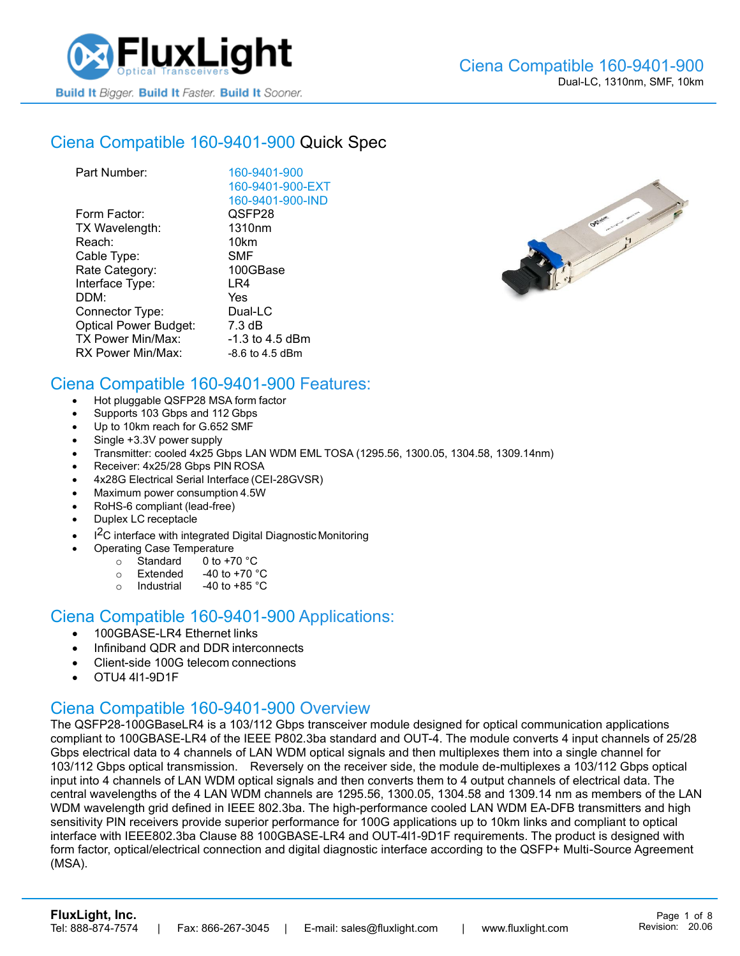

## Ciena [Compatible 160-9401-900](https://www.fluxlight.com/160-9401-900/) Quick Spec

| Part Number:                 | 160-9401-900       |
|------------------------------|--------------------|
|                              | 160-9401-900-EXT   |
|                              | 160-9401-900-IND   |
| Form Factor:                 | QSFP28             |
| TX Wavelength:               | 1310 <sub>nm</sub> |
| Reach:                       | 10km               |
| Cable Type:                  | SMF                |
| Rate Category:               | 100GBase           |
| Interface Type:              | LR4                |
| DDM:                         | Yes                |
| Connector Type:              | Dual-LC            |
| <b>Optical Power Budget:</b> | 7.3 dB             |
| TX Power Min/Max:            | $-1.3$ to 4.5 dBm  |
| RX Power Min/Max:            | $-8.6$ to 4.5 dBm  |



#### Ciena Compatible [160-9401-900](https://www.fluxlight.com/160-9401-900/) Features:

- Hot pluggable QSFP28 MSA form factor
- Supports 103 Gbps and 112 Gbps
- Up to 10km reach for G.652 SMF
- Single +3.3V power supply
- Transmitter: cooled 4x25 Gbps LAN WDM EML TOSA (1295.56, 1300.05, 1304.58, 1309.14nm)
- Receiver: 4x25/28 Gbps PIN ROSA
- 4x28G Electrical Serial Interface (CEI-28GVSR)
- Maximum power consumption 4.5W
- RoHS-6 compliant (lead-free)
- Duplex LC receptacle
- I<sup>2</sup>C interface with integrated Digital Diagnostic Monitoring
	- Operating Case Temperature
		- $\circ$  Standard 0 to +70 °C
		- $\circ$  Extended -40 to +70  $\degree$ C
		- o Industrial  $-40$  to  $+85$  °C

#### Ciena Compatible [160-9401-900](https://www.fluxlight.com/160-9401-900/) Applications:

- 100GBASE-LR4 Ethernet links
- Infiniband QDR and DDR interconnects
- Client-side 100G telecom connections
- OTU4 4l1-9D1F

#### Ciena Compatible [160-9401-900](https://www.fluxlight.com/160-9401-900/) Overview

The QSFP28-100GBaseLR4 is a 103/112 Gbps transceiver module designed for optical communication applications compliant to 100GBASE-LR4 of the IEEE P802.3ba standard and OUT-4. The module converts 4 input channels of 25/28 Gbps electrical data to 4 channels of LAN WDM optical signals and then multiplexes them into a single channel for 103/112 Gbps optical transmission. Reversely on the receiver side, the module de-multiplexes a 103/112 Gbps optical input into 4 channels of LAN WDM optical signals and then converts them to 4 output channels of electrical data. The central wavelengths of the 4 LAN WDM channels are 1295.56, 1300.05, 1304.58 and 1309.14 nm as members of the LAN WDM wavelength grid defined in IEEE 802.3ba. The high-performance cooled LAN WDM EA-DFB transmitters and high sensitivity PIN receivers provide superior performance for 100G applications up to 10km links and compliant to optical interface with IEEE802.3ba Clause 88 100GBASE-LR4 and OUT-4l1-9D1F requirements. The product is designed with form factor, optical/electrical connection and digital diagnostic interface according to the QSFP+ Multi-Source Agreement (MSA).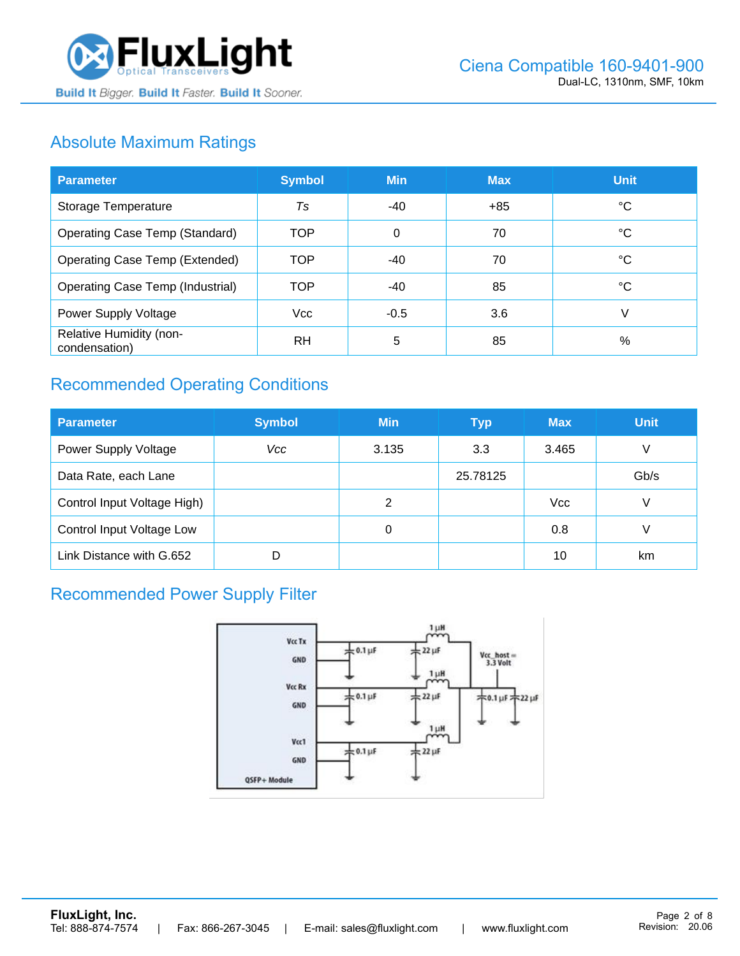

# Absolute Maximum Ratings

| <b>Parameter</b>                         | <b>Symbol</b> | <b>Min</b> | <b>Max</b> | <b>Unit</b> |
|------------------------------------------|---------------|------------|------------|-------------|
| Storage Temperature                      | Ts            | -40        | $+85$      | ℃           |
| <b>Operating Case Temp (Standard)</b>    | <b>TOP</b>    | $\Omega$   | 70         | °C          |
| <b>Operating Case Temp (Extended)</b>    | <b>TOP</b>    | $-40$      | 70         | °C          |
| <b>Operating Case Temp (Industrial)</b>  | <b>TOP</b>    | -40        | 85         | °C          |
| Power Supply Voltage                     | <b>Vcc</b>    | $-0.5$     | 3.6        | V           |
| Relative Humidity (non-<br>condensation) | <b>RH</b>     | 5          | 85         | %           |

## Recommended Operating Conditions

| <b>Parameter</b>            | <b>Symbol</b> | <b>Min</b> | <b>Typ</b> | <b>Max</b> | <b>Unit</b> |
|-----------------------------|---------------|------------|------------|------------|-------------|
| <b>Power Supply Voltage</b> | Vcc           | 3.135      | 3.3        | 3.465      | V           |
| Data Rate, each Lane        |               |            | 25.78125   |            | Gb/s        |
| Control Input Voltage High) |               | 2          |            | <b>Vcc</b> | V           |
| Control Input Voltage Low   |               | 0          |            | 0.8        |             |
| Link Distance with G.652    | D             |            |            | 10         | km          |

### Recommended Power Supply Filter

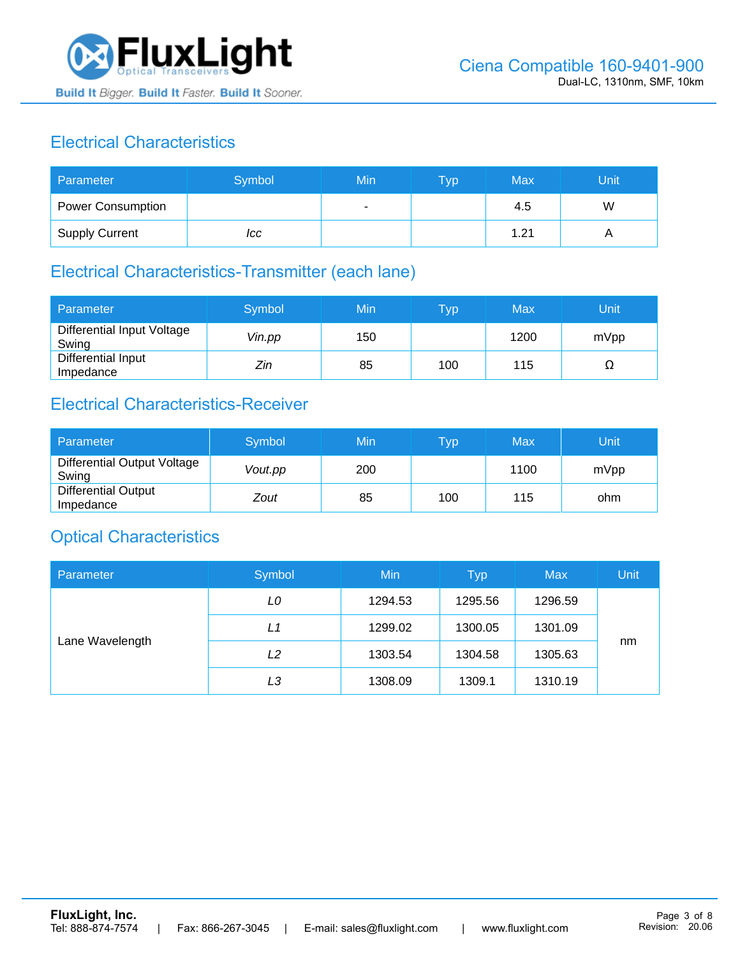

## Electrical Characteristics

| Parameter                | Symbol | Min | <b>Typ</b> | Max  | Unit |
|--------------------------|--------|-----|------------|------|------|
| <b>Power Consumption</b> |        |     |            | 4.5  | W    |
| <b>Supply Current</b>    | ICC    |     |            | 1.21 |      |

# Electrical Characteristics-Transmitter (each lane)

| Parameter                           | Symbol | Min | $\overline{\mathsf{T}}\mathsf{yp}$ | Max  | Unit |
|-------------------------------------|--------|-----|------------------------------------|------|------|
| Differential Input Voltage<br>Swing | Vin.pp | 150 |                                    | 1200 | mVpp |
| Differential Input<br>Impedance     | Zin    | 85  | 100                                | 115  | 77   |

## Electrical Characteristics-Receiver

| Parameter                               | Symbol  | Min | Typ | Max  | Unit |
|-----------------------------------------|---------|-----|-----|------|------|
| Differential Output Voltage<br>Swing    | Vout.pp | 200 |     | 1100 | mVpp |
| <b>Differential Output</b><br>Impedance | Zout    | 85  | 100 | 115  | ohm  |

### Optical Characteristics

| Parameter       | Symbol | Min     | <b>Typ</b> | <b>Max</b> | Unit |
|-----------------|--------|---------|------------|------------|------|
| Lane Wavelength | LO     | 1294.53 | 1295.56    | 1296.59    |      |
|                 | L1     | 1299.02 | 1300.05    | 1301.09    |      |
|                 | L2     | 1303.54 | 1304.58    | 1305.63    | nm   |
|                 | LЗ     | 1308.09 | 1309.1     | 1310.19    |      |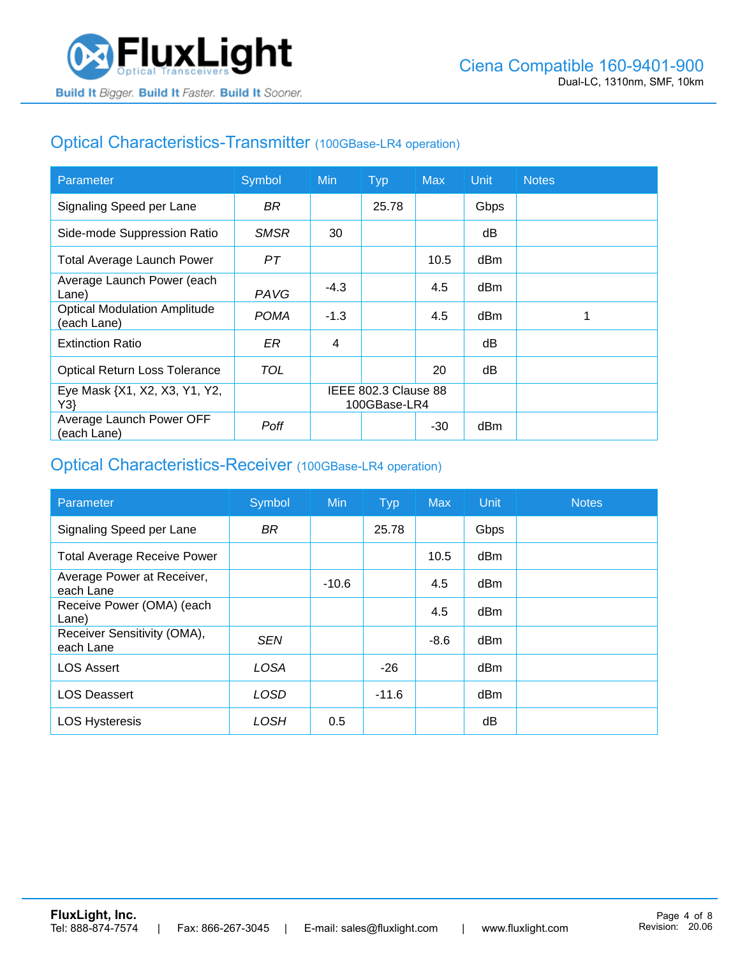## Optical Characteristics-Transmitter (100GBase-LR4 operation)

| Parameter                                          | Symbol      | <b>Min</b>                           | <b>Typ</b> | <b>Max</b> | <b>Unit</b> | <b>Notes</b> |
|----------------------------------------------------|-------------|--------------------------------------|------------|------------|-------------|--------------|
| Signaling Speed per Lane                           | BR.         |                                      | 25.78      |            | Gbps        |              |
| Side-mode Suppression Ratio                        | <b>SMSR</b> | 30                                   |            |            | dB          |              |
| <b>Total Average Launch Power</b>                  | PT          |                                      |            | 10.5       | dBm         |              |
| Average Launch Power (each<br>Lane)                | PAVG        | $-4.3$                               |            | 4.5        | dBm         |              |
| <b>Optical Modulation Amplitude</b><br>(each Lane) | <b>POMA</b> | $-1.3$                               |            | 4.5        | dBm         |              |
| <b>Extinction Ratio</b>                            | ER          | 4                                    |            |            | dВ          |              |
| <b>Optical Return Loss Tolerance</b>               | TOL         |                                      |            | 20         | dB          |              |
| Eye Mask {X1, X2, X3, Y1, Y2,<br>Y3                |             | IEEE 802.3 Clause 88<br>100GBase-LR4 |            |            |             |              |
| Average Launch Power OFF<br>(each Lane)            | Poff        |                                      |            | $-30$      | dBm         |              |

#### Optical Characteristics-Receiver (100GBase-LR4 operation)

| Parameter                                | Symbol      | <b>Min</b> | <b>Typ</b> | <b>Max</b> | Unit            | <b>Notes</b> |
|------------------------------------------|-------------|------------|------------|------------|-----------------|--------------|
| Signaling Speed per Lane                 | <b>BR</b>   |            | 25.78      |            | Gbps            |              |
| <b>Total Average Receive Power</b>       |             |            |            | 10.5       | dBm             |              |
| Average Power at Receiver,<br>each Lane  |             | $-10.6$    |            | 4.5        | dBm             |              |
| Receive Power (OMA) (each<br>Lane)       |             |            |            | 4.5        | dBm             |              |
| Receiver Sensitivity (OMA),<br>each Lane | <b>SEN</b>  |            |            | $-8.6$     | dB <sub>m</sub> |              |
| <b>LOS Assert</b>                        | <b>LOSA</b> |            | $-26$      |            | dBm             |              |
| <b>LOS Deassert</b>                      | LOSD        |            | $-11.6$    |            | dBm             |              |
| <b>LOS Hysteresis</b>                    | LOSH        | 0.5        |            |            | dΒ              |              |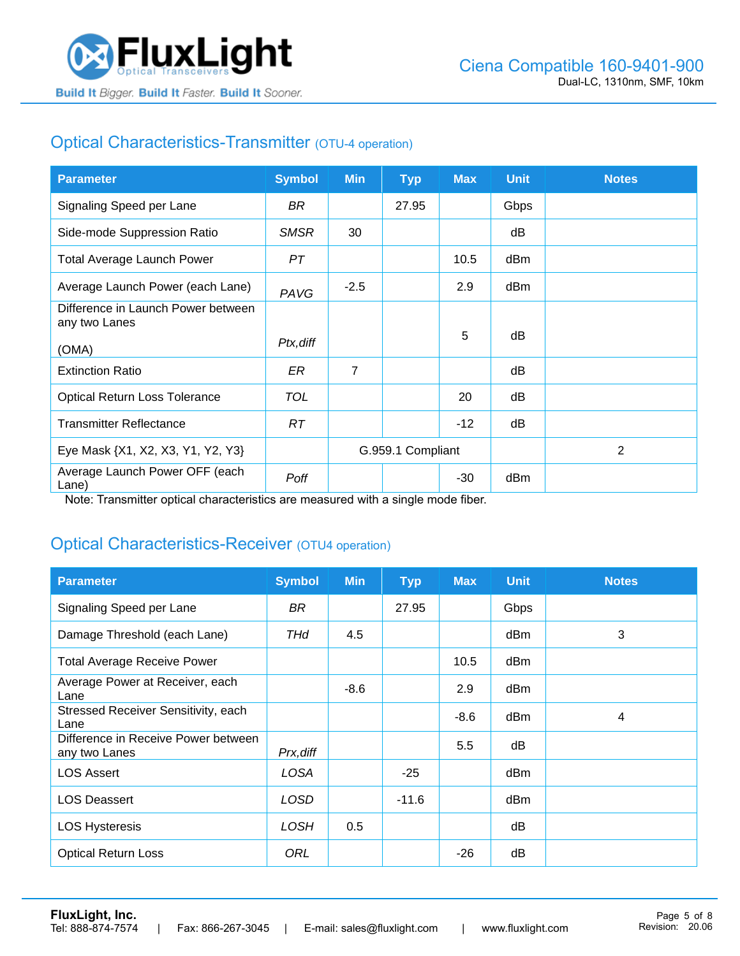

## Optical Characteristics-Transmitter (OTU-4 operation)

| <b>Parameter</b>                                    | <b>Symbol</b> | <b>Min</b>        | <b>Typ</b> | <b>Max</b> | <b>Unit</b> | <b>Notes</b> |
|-----------------------------------------------------|---------------|-------------------|------------|------------|-------------|--------------|
| Signaling Speed per Lane                            | BR.           |                   | 27.95      |            | Gbps        |              |
| Side-mode Suppression Ratio                         | <b>SMSR</b>   | 30                |            |            | dB          |              |
| <b>Total Average Launch Power</b>                   | PT            |                   |            | 10.5       | dBm         |              |
| Average Launch Power (each Lane)                    | PAVG          | $-2.5$            |            | 2.9        | dBm         |              |
| Difference in Launch Power between<br>any two Lanes |               |                   |            |            |             |              |
| (OMA)                                               | Ptx, diff     |                   |            | 5          | dB          |              |
| <b>Extinction Ratio</b>                             | ER            | $\overline{7}$    |            |            | dB          |              |
| <b>Optical Return Loss Tolerance</b>                | <b>TOL</b>    |                   |            | 20         | dB          |              |
| <b>Transmitter Reflectance</b>                      | RT.           |                   |            | $-12$      | dB          |              |
| Eye Mask {X1, X2, X3, Y1, Y2, Y3}                   |               | G.959.1 Compliant |            |            |             | 2            |
| Average Launch Power OFF (each<br>Lane)             | Poff          |                   |            | $-30$      | dBm         |              |

Note: Transmitter optical characteristics are measured with a single mode fiber.

### Optical Characteristics-Receiver (OTU4 operation)

| <b>Parameter</b>                                     | <b>Symbol</b> | <b>Min</b> | <b>Typ</b> | <b>Max</b> | <b>Unit</b> | <b>Notes</b> |
|------------------------------------------------------|---------------|------------|------------|------------|-------------|--------------|
| Signaling Speed per Lane                             | BR            |            | 27.95      |            | Gbps        |              |
| Damage Threshold (each Lane)                         | THd           | 4.5        |            |            | dBm         | 3            |
| <b>Total Average Receive Power</b>                   |               |            |            | 10.5       | dBm         |              |
| Average Power at Receiver, each<br>Lane              |               | $-8.6$     |            | 2.9        | dBm         |              |
| Stressed Receiver Sensitivity, each<br>Lane          |               |            |            | $-8.6$     | dBm         | 4            |
| Difference in Receive Power between<br>any two Lanes | Prx, diff     |            |            | 5.5        | dB          |              |
| <b>LOS Assert</b>                                    | LOSA          |            | $-25$      |            | dBm         |              |
| <b>LOS Deassert</b>                                  | LOSD          |            | $-11.6$    |            | dBm         |              |
| <b>LOS Hysteresis</b>                                | <b>LOSH</b>   | 0.5        |            |            | dB          |              |
| <b>Optical Return Loss</b>                           | ORL           |            |            | $-26$      | dB          |              |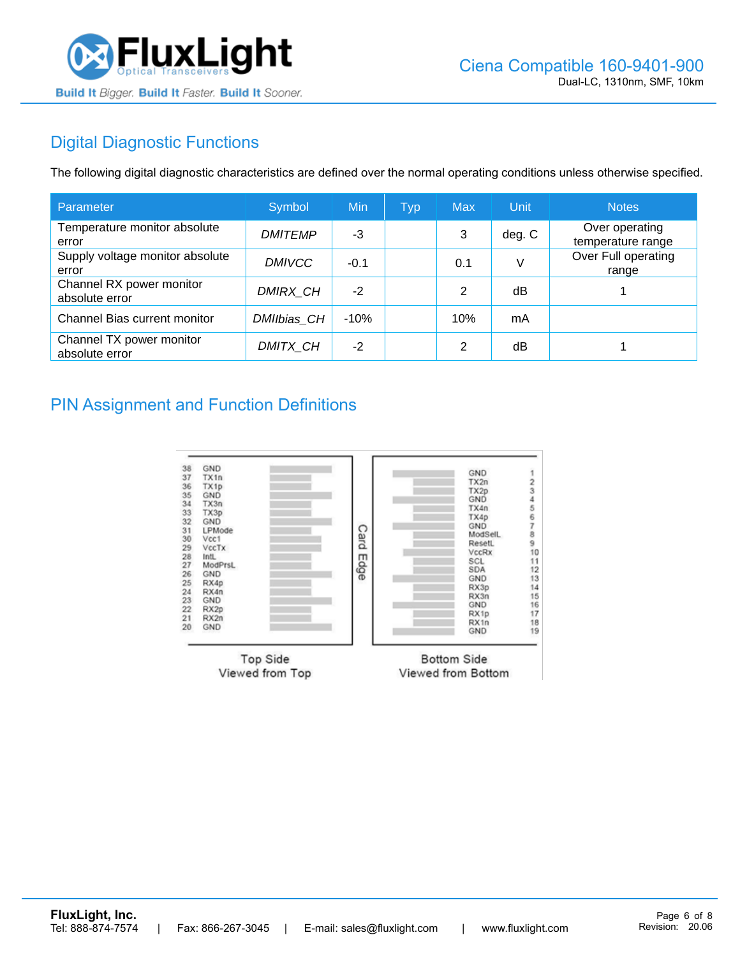

## Digital Diagnostic Functions

The following digital diagnostic characteristics are defined over the normal operating conditions unless otherwise specified.

| Parameter                                  | Symbol         | Min    | <b>Typ</b> | <b>Max</b> | Unit   | <b>Notes</b>                        |
|--------------------------------------------|----------------|--------|------------|------------|--------|-------------------------------------|
| Temperature monitor absolute<br>error      | <b>DMITEMP</b> | -3     |            | 3          | deg. C | Over operating<br>temperature range |
| Supply voltage monitor absolute<br>error   | <b>DMIVCC</b>  | $-0.1$ |            | 0.1        | V      | Over Full operating<br>range        |
| Channel RX power monitor<br>absolute error | DMIRX_CH       | $-2$   |            | 2          | dB     |                                     |
| Channel Bias current monitor               | DMIIbias CH    | $-10%$ |            | 10%        | mA     |                                     |
| Channel TX power monitor<br>absolute error | DMITX CH       | $-2$   |            | 2          | dB     |                                     |

#### PIN Assignment and Function Definitions

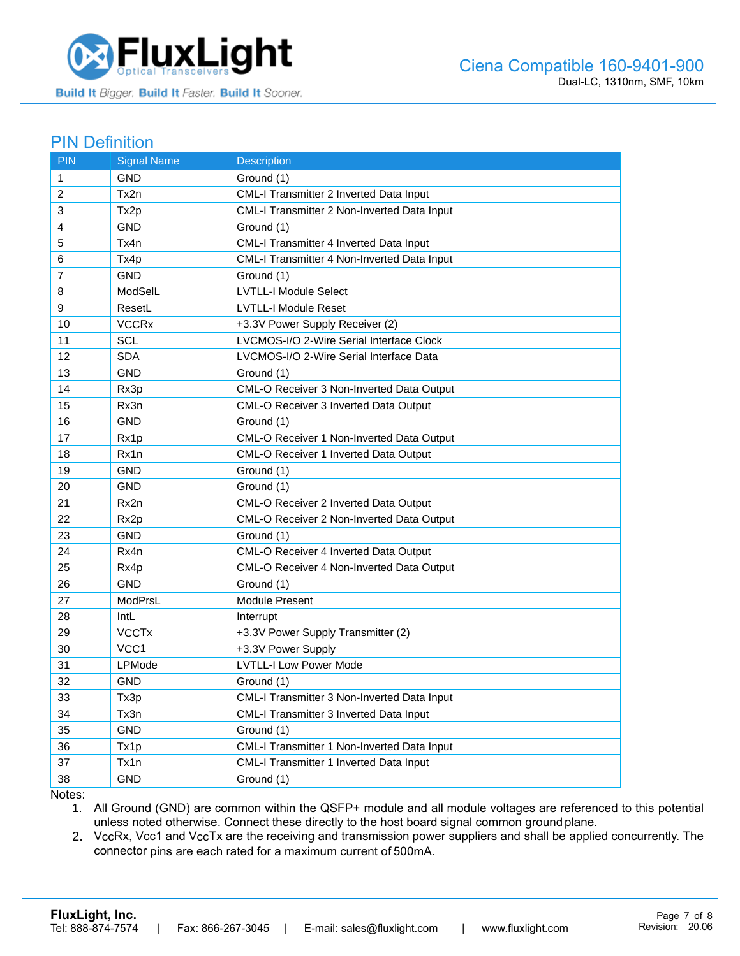

#### PIN Definition

| <b>PIN</b>     | <b>Signal Name</b>      | <b>Description</b>                                 |
|----------------|-------------------------|----------------------------------------------------|
| $\mathbf{1}$   | GND                     | Ground (1)                                         |
| 2              | Tx2n                    | CML-I Transmitter 2 Inverted Data Input            |
| 3              | Tx2p                    | <b>CML-I Transmitter 2 Non-Inverted Data Input</b> |
| 4              | <b>GND</b>              | Ground (1)                                         |
| 5              | Tx4n                    | CML-I Transmitter 4 Inverted Data Input            |
| 6              | Tx4p                    | CML-I Transmitter 4 Non-Inverted Data Input        |
| $\overline{7}$ | <b>GND</b>              | Ground (1)                                         |
| 8              | ModSelL                 | <b>LVTLL-I Module Select</b>                       |
| 9              | ResetL                  | <b>LVTLL-I Module Reset</b>                        |
| 10             | <b>VCCRx</b>            | +3.3V Power Supply Receiver (2)                    |
| 11             | SCL                     | LVCMOS-I/O 2-Wire Serial Interface Clock           |
| 12             | <b>SDA</b>              | LVCMOS-I/O 2-Wire Serial Interface Data            |
| 13             | <b>GND</b>              | Ground (1)                                         |
| 14             | Rx3p                    | CML-O Receiver 3 Non-Inverted Data Output          |
| 15             | Rx3n                    | <b>CML-O Receiver 3 Inverted Data Output</b>       |
| 16             | <b>GND</b>              | Ground (1)                                         |
| 17             | Rx1p                    | CML-O Receiver 1 Non-Inverted Data Output          |
| 18             | Rx1n                    | CML-O Receiver 1 Inverted Data Output              |
| 19             | <b>GND</b>              | Ground (1)                                         |
| 20             | <b>GND</b>              | Ground (1)                                         |
| 21             | Rx2n                    | CML-O Receiver 2 Inverted Data Output              |
| 22             | Rx2p                    | CML-O Receiver 2 Non-Inverted Data Output          |
| 23             | <b>GND</b>              | Ground (1)                                         |
| 24             | Rx4n                    | CML-O Receiver 4 Inverted Data Output              |
| 25             | Rx4p                    | CML-O Receiver 4 Non-Inverted Data Output          |
| 26             | <b>GND</b>              | Ground (1)                                         |
| 27             | ModPrsL                 | <b>Module Present</b>                              |
| 28             | IntL                    | Interrupt                                          |
| 29             | <b>VCCT<sub>x</sub></b> | +3.3V Power Supply Transmitter (2)                 |
| 30             | VCC <sub>1</sub>        | +3.3V Power Supply                                 |
| 31             | LPMode                  | <b>LVTLL-I Low Power Mode</b>                      |
| 32             | <b>GND</b>              | Ground (1)                                         |
| 33             | Tx3p                    | CML-I Transmitter 3 Non-Inverted Data Input        |
| 34             | Tx3n                    | CML-I Transmitter 3 Inverted Data Input            |
| 35             | <b>GND</b>              | Ground (1)                                         |
| 36             | Tx1p                    | CML-I Transmitter 1 Non-Inverted Data Input        |
| 37             | Tx1n                    | CML-I Transmitter 1 Inverted Data Input            |
| 38             | <b>GND</b>              | Ground (1)                                         |

Notes:

1. All Ground (GND) are common within the QSFP+ module and all module voltages are referenced to this potential unless noted otherwise. Connect these directly to the host board signal common ground plane.

2. VccRx, Vcc1 and VccTx are the receiving and transmission power suppliers and shall be applied concurrently. The connector pins are each rated for a maximum current of 500mA.